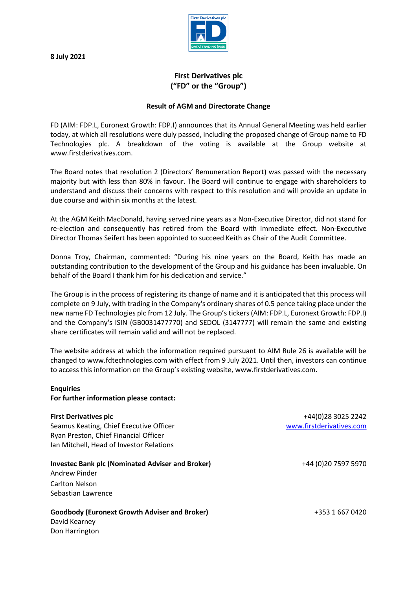**8 July 2021**



# **First Derivatives plc ("FD" or the "Group")**

# **Result of AGM and Directorate Change**

FD (AIM: FDP.L, Euronext Growth: FDP.I) announces that its Annual General Meeting was held earlier today, at which all resolutions were duly passed, including the proposed change of Group name to FD Technologies plc. A breakdown of the voting is available at the Group website at www.firstderivatives.com.

The Board notes that resolution 2 (Directors' Remuneration Report) was passed with the necessary majority but with less than 80% in favour. The Board will continue to engage with shareholders to understand and discuss their concerns with respect to this resolution and will provide an update in due course and within six months at the latest.

At the AGM Keith MacDonald, having served nine years as a Non-Executive Director, did not stand for re-election and consequently has retired from the Board with immediate effect. Non-Executive Director Thomas Seifert has been appointed to succeed Keith as Chair of the Audit Committee.

Donna Troy, Chairman, commented: "During his nine years on the Board, Keith has made an outstanding contribution to the development of the Group and his guidance has been invaluable. On behalf of the Board I thank him for his dedication and service."

The Group is in the process of registering its change of name and it is anticipated that this process will complete on 9 July, with trading in the Company's ordinary shares of 0.5 pence taking place under the new name FD Technologies plc from 12 July. The Group's tickers (AIM: FDP.L, Euronext Growth: FDP.I) and the Company's ISIN (GB0031477770) and SEDOL (3147777) will remain the same and existing share certificates will remain valid and will not be replaced.

The website address at which the information required pursuant to AIM Rule 26 is available will be changed to www.fdtechnologies.com with effect from 9 July 2021. Until then, investors can continue to access this information on the Group's existing website, www.firstderivatives.com.

#### **Enquiries**

**For further information please contact:**

## **First Derivatives plc**

Seamus Keating, Chief Executive Officer Ryan Preston, Chief Financial Officer Ian Mitchell, Head of Investor Relations

## **Investec Bank plc (Nominated Adviser and Broker)**

Andrew Pinder Carlton Nelson Sebastian Lawrence

#### **Goodbody (Euronext Growth Adviser and Broker)**

David Kearney Don Harrington

+44(0)28 3025 2242 [www.firstderivatives.com](http://www.firstderivatives.com/)

+44 (0)20 7597 5970

+353 1 667 0420